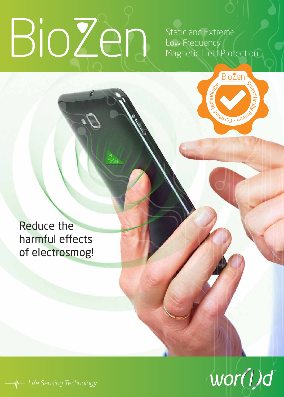BioZen Static and Extreme Low Frequency Magnetic Field Protection



Reduce the harmful effects of electrosmog!



Life Sensing Technology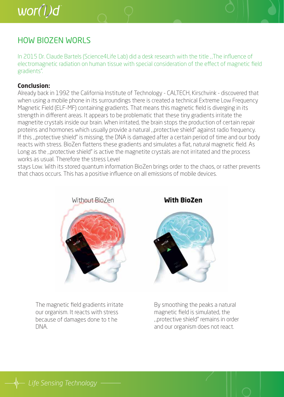

## HOW BIOZEN WORLS

In 2015 Dr. Claude Bartels (Science4Life Lab) did a desk research with the title ,,The influence of electromagnetic radiation on human tissue with special consideration of the effect of magnetic field gradients".

#### **Conclusion:**

Already back in 1992 the California Institute of Technology - CALTECH, Kirschvink - discovered that when using a mobile phone in its surroundings there is created a technical Extreme Low Frequency Magnetic Field (ELF-MF) containing gradients. That means this magnetic field is diverging in its strength in different areas. It appears to be problematic that these tiny gradients irritate the magnetite crystals inside our brain. When irritated, the brain stops the production of certain repair proteins and hormones which usually provide a natural ,,protective shield" against radio frequency. If this ,,protective shield" is missing, the DNA is damaged after a certain period of time and our body reacts with stress. BioZen flattens these gradients and simulates a flat, natural magnetic field. As Long as the "protective shield" is active the magnetite crystals are not irritated and the process works as usual. Therefore the stress Level

stays Low. With its stored quantum information BioZen brings order to the chaos, or rather prevents that chaos occurs. This has a positive influence on all emissions of mobile devices.



The magnetic field gradients irritate our organism. It reacts with stress because of damages done to t he DNA.

**With BioZen** 



By smoothing the peaks a natural magnetic field is simulated, the ,,protective shield" remains in order and our organism does not react.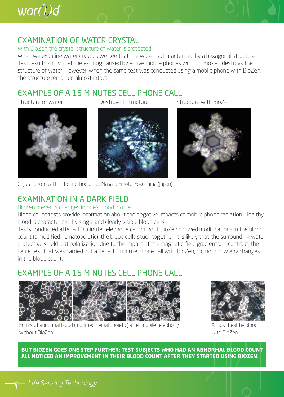

## EXAMINATION OF WATER CRYSTAL

#### With BioZen the crystal structure of water is protected.

When we examine water crystals we see that the water is characterized by a hexagonal structure. Test results show that the e-smog caused by active mobile phones without BioZen destroys the structure of water. However, when the same test was conducted using a mobile phone with BioZen, the structure remained almost intact.

# EXAMPLE OF A 15 MINUTES CELL PHONE CALL

Structure of water



Destroyed Structure Structure with BioZen







Crystal photos after the method of Dr. Masaru Emoto, Yokohama (Japan)

## EXAMINATION IN A DARK FIELD

#### BioZen prevents changes in one's blood profile.

Blood count tests provide information about the negative impacts of mobile phone radiation. Healthy blood is characterized by single and clearly visible blood cells.

Tests conducted after a 10 minute telephone call without BioZen showed modifications in the blood count (a modified hematopoietic): the blood cells stuck together. It is likely that the surrounding water protective shield lost polarization due to the impact of the magnetic field gradients. In contrast, the same test that was carried out after a 10 minute phone call with BioZen, did not show any changes in the blood count.

# EXAMPLE OF A 15 MINUTES CELL PHONE CALL







Almost healthy blood with BioZen

**BUT BIOZEN GOES ONE STEP FURTHER: TEST SUBJECTS WHO HAD AN ABNORMAL BLOOD COUNT ALL NOTICED AN IMPROVEMENT IN THEIR BLOOD COUNT AFTER THEY STARTED USING BIOZEN.**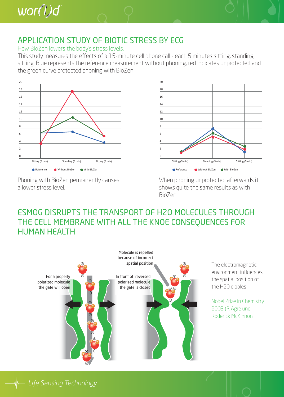

## APPLICATION STUDY OF BIOTIC STRESS BY ECG

How BioZen lowers the body's stress levels.

This study measures the effects of a 15-minute cell phone call - each 5 minutes sitting, standing, sitting. Blue represents the reference measurement without phoning, red indicates unprotected and the green curve protected phoning with BioZen.



Phoning with BioZen permanently causes a lower stress level.



When phoning unprotected afterwards it shows quite the same results as with BioZen.

## ESMOG DISRUPTS THE TRANSPORT OF H2O MOLECULES THROUGH THE CELL MEMBRANE WITH ALL THE KNOE CONSEQUENCES FOR HUMAN HEALTH

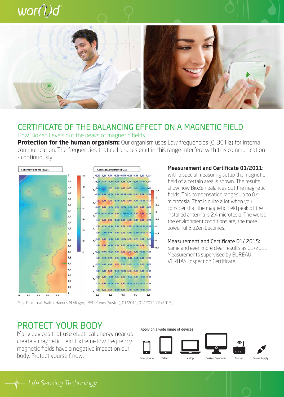# $wor(l)d$

#### CERTIFICATE OF THE BALANCING EFFECT ON A MAGNETIC FIELD How BioZen Levels out the peaks of magnetic fields.

**Protection for the human organism:** Our organism uses Low frequencies {0-30 Hz) for internal communication. The frequencies that cell phones emit in this range interfere with this communication - continuously.



#### Measurement and Certificate 01/2011:

With a special measuring setup the magnetic field of a certain area is shown. The results show how BioZen balances out the magnetic fields. This compensation ranges up to 0.4 microtesla. That is quite a lot when you consider that the magnetic field peak of the installed antenna is 2.4 microtesla. The worse the environment conditions are, the more powerful BioZen becomes.

Measurement and Certificate 01/ 2015: Same and even more clear results as 01/2011. Measurements supervised by BUREAU VERITAS: Inspection Certificate.

Mag. Dr. rer. nat. Walter Hannes Medinger, IIREC, Krems (Austria), 01/2011; 01/ 2014; 01/2015;

# PROTECT YOUR BODY Apply on a wide range of devices

Many devices that use electrical energy near us create a magnetic field. Extreme low frequency magnetic fields have a negative impact on our body. Protect yourself now.